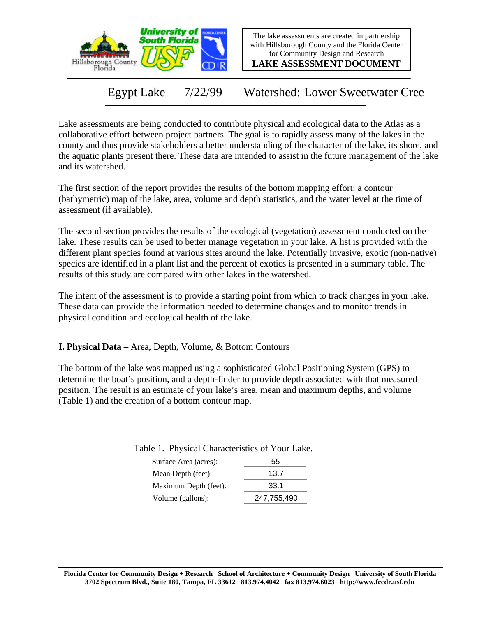

The lake assessments are created in partnership with Hillsborough County and the Florida Center for Community Design and Research

**LAKE ASSESSMENT DOCUMENT**

Egypt Lake 7/22/99 Watershed: Lower Sweetwater Cree

Lake assessments are being conducted to contribute physical and ecological data to the Atlas as a collaborative effort between project partners. The goal is to rapidly assess many of the lakes in the county and thus provide stakeholders a better understanding of the character of the lake, its shore, and the aquatic plants present there. These data are intended to assist in the future management of the lake and its watershed.

The first section of the report provides the results of the bottom mapping effort: a contour (bathymetric) map of the lake, area, volume and depth statistics, and the water level at the time of assessment (if available).

The second section provides the results of the ecological (vegetation) assessment conducted on the lake. These results can be used to better manage vegetation in your lake. A list is provided with the different plant species found at various sites around the lake. Potentially invasive, exotic (non-native) species are identified in a plant list and the percent of exotics is presented in a summary table. The results of this study are compared with other lakes in the watershed.

The intent of the assessment is to provide a starting point from which to track changes in your lake. These data can provide the information needed to determine changes and to monitor trends in physical condition and ecological health of the lake.

**I. Physical Data –** Area, Depth, Volume, & Bottom Contours

The bottom of the lake was mapped using a sophisticated Global Positioning System (GPS) to determine the boat's position, and a depth-finder to provide depth associated with that measured position. The result is an estimate of your lake's area, mean and maximum depths, and volume (Table 1) and the creation of a bottom contour map.

Table 1. Physical Characteristics of Your Lake.

| Surface Area (acres): | 55          |
|-----------------------|-------------|
| Mean Depth (feet):    | 13.7        |
| Maximum Depth (feet): | 33.1        |
| Volume (gallons):     | 247,755,490 |
|                       |             |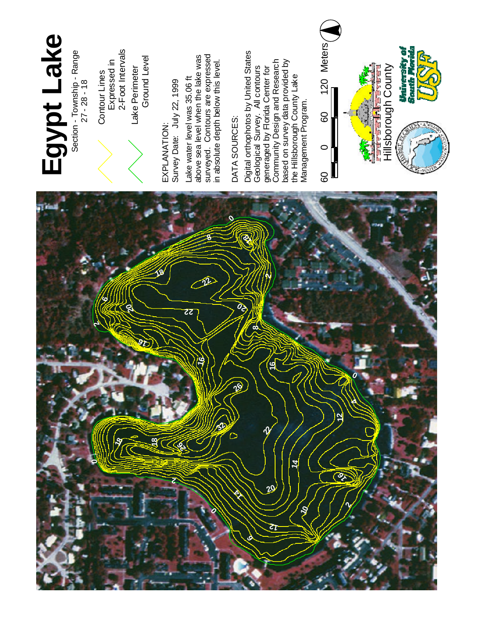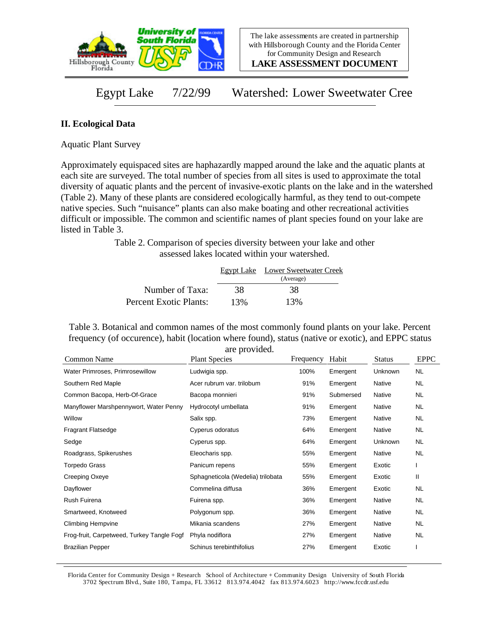

**LAKE ASSESSMENT DOCUMENT**

Egypt Lake 7/22/99 Watershed: Lower Sweetwater Cree

## **II. Ecological Data**

Aquatic Plant Survey

Approximately equispaced sites are haphazardly mapped around the lake and the aquatic plants at each site are surveyed. The total number of species from all sites is used to approximate the total diversity of aquatic plants and the percent of invasive-exotic plants on the lake and in the watershed (Table 2). Many of these plants are considered ecologically harmful, as they tend to out-compete native species. Such "nuisance" plants can also make boating and other recreational activities difficult or impossible. The common and scientific names of plant species found on your lake are listed in Table 3.

> Table 2. Comparison of species diversity between your lake and other assessed lakes located within your watershed.

|                        |     | Egypt Lake Lower Sweetwater Creek |
|------------------------|-----|-----------------------------------|
|                        |     | (Average)                         |
| Number of Taxa:        | 38  | 38                                |
| Percent Exotic Plants: | 13% | 13%                               |

Table 3. Botanical and common names of the most commonly found plants on your lake. Percent frequency (of occurence), habit (location where found), status (native or exotic), and EPPC status are provided.

| Common Name                                | $\mathfrak{u}$ . provided.<br><b>Plant Species</b> | Frequency | Habit     | <b>Status</b> | <b>EPPC</b> |
|--------------------------------------------|----------------------------------------------------|-----------|-----------|---------------|-------------|
| Water Primroses, Primrosewillow            | Ludwigia spp.                                      | 100%      | Emergent  | Unknown       | <b>NL</b>   |
| Southern Red Maple                         | Acer rubrum var. trilobum                          | 91%       | Emergent  | Native        | NL.         |
| Common Bacopa, Herb-Of-Grace               | Bacopa monnieri                                    | 91%       | Submersed | Native        | NL.         |
| Manyflower Marshpennywort, Water Penny     | Hydrocotyl umbellata                               | 91%       | Emergent  | Native        | NL          |
| Willow                                     | Salix spp.                                         | 73%       | Emergent  | Native        | NL.         |
| <b>Fragrant Flatsedge</b>                  | Cyperus odoratus                                   | 64%       | Emergent  | Native        | NL.         |
| Sedge                                      | Cyperus spp.                                       | 64%       | Emergent  | Unknown       | NL.         |
| Roadgrass, Spikerushes                     | Eleocharis spp.                                    | 55%       | Emergent  | Native        | NL.         |
| Torpedo Grass                              | Panicum repens                                     | 55%       | Emergent  | Exotic        |             |
| Creeping Oxeye                             | Sphagneticola (Wedelia) trilobata                  | 55%       | Emergent  | Exotic        | Ш           |
| Dayflower                                  | Commelina diffusa                                  | 36%       | Emergent  | Exotic        | <b>NL</b>   |
| Rush Fuirena                               | Fuirena spp.                                       | 36%       | Emergent  | Native        | NL.         |
| Smartweed, Knotweed                        | Polygonum spp.                                     | 36%       | Emergent  | Native        | NL.         |
| <b>Climbing Hempvine</b>                   | Mikania scandens                                   | 27%       | Emergent  | Native        | NL.         |
| Frog-fruit, Carpetweed, Turkey Tangle Fogf | Phyla nodiflora                                    | 27%       | Emergent  | Native        | NL          |
| <b>Brazilian Pepper</b>                    | Schinus terebinthifolius                           | 27%       | Emergent  | Exotic        |             |

Florida Center for Community Design + Research School of Architecture + Community Design University of South Florida 3702 Spectrum Blvd., Suite 180, Tampa, FL 33612 813.974.4042 fax 813.974.6023 http://www.fccdr.usf.edu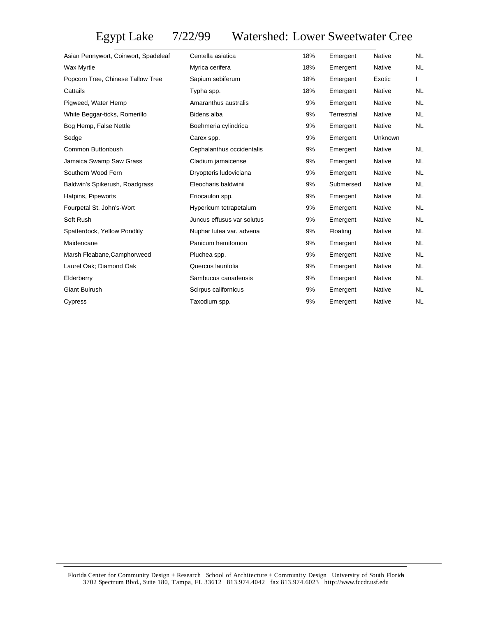## Egypt Lake 7/22/99 Watershed: Lower Sweetwater Cree

| Asian Pennywort, Coinwort, Spadeleaf | Centella asiatica          | 18% | Emergent    | Native        | <b>NL</b> |
|--------------------------------------|----------------------------|-----|-------------|---------------|-----------|
| Wax Myrtle                           | Myrica cerifera            | 18% | Emergent    | Native        | NL.       |
| Popcorn Tree, Chinese Tallow Tree    | Sapium sebiferum           | 18% | Emergent    | Exotic        |           |
| Cattails                             | Typha spp.                 | 18% | Emergent    | Native        | NL.       |
| Pigweed, Water Hemp                  | Amaranthus australis       | 9%  | Emergent    | Native        | NL.       |
| White Beggar-ticks, Romerillo        | Bidens alba                | 9%  | Terrestrial | Native        | <b>NL</b> |
| Bog Hemp, False Nettle               | Boehmeria cylindrica       | 9%  | Emergent    | Native        | <b>NL</b> |
| Sedge                                | Carex spp.                 | 9%  | Emergent    | Unknown       |           |
| Common Buttonbush                    | Cephalanthus occidentalis  | 9%  | Emergent    | <b>Native</b> | <b>NL</b> |
| Jamaica Swamp Saw Grass              | Cladium jamaicense         | 9%  | Emergent    | <b>Native</b> | <b>NL</b> |
| Southern Wood Fern                   | Dryopteris Iudoviciana     | 9%  | Emergent    | Native        | <b>NL</b> |
| Baldwin's Spikerush, Roadgrass       | Eleocharis baldwinii       | 9%  | Submersed   | <b>Native</b> | <b>NL</b> |
| Hatpins, Pipeworts                   | Eriocaulon spp.            | 9%  | Emergent    | <b>Native</b> | <b>NL</b> |
| Fourpetal St. John's-Wort            | Hypericum tetrapetalum     | 9%  | Emergent    | Native        | <b>NL</b> |
| Soft Rush                            | Juncus effusus var solutus | 9%  | Emergent    | Native        | <b>NL</b> |
| Spatterdock, Yellow Pondlily         | Nuphar lutea var. advena   | 9%  | Floating    | <b>Native</b> | <b>NL</b> |
| Maidencane                           | Panicum hemitomon          | 9%  | Emergent    | Native        | <b>NL</b> |
| Marsh Fleabane, Camphorweed          | Pluchea spp.               | 9%  | Emergent    | Native        | NL.       |
| Laurel Oak; Diamond Oak              | Quercus laurifolia         | 9%  | Emergent    | Native        | <b>NL</b> |
| Elderberry                           | Sambucus canadensis        | 9%  | Emergent    | Native        | <b>NL</b> |
| Giant Bulrush                        | Scirpus californicus       | 9%  | Emergent    | Native        | NL        |
| Cypress                              | Taxodium spp.              | 9%  | Emergent    | Native        | NL.       |
|                                      |                            |     |             |               |           |